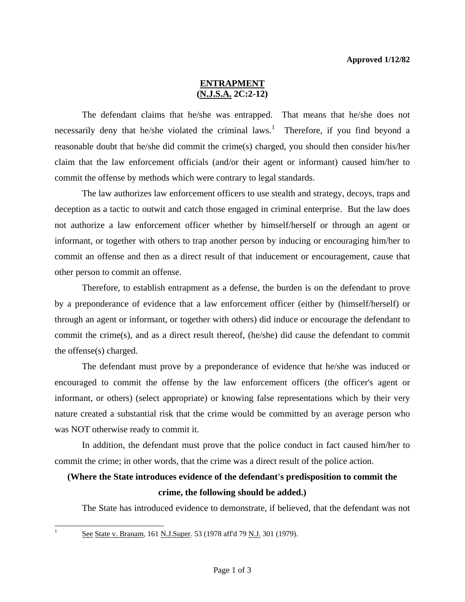## **ENTRAPMENT (N.J.S.A. 2C:2-12)**

 The defendant claims that he/she was entrapped. That means that he/she does not necessarily deny that he/she violated the criminal laws.<sup>[1](#page-0-0)</sup> Therefore, if you find beyond a reasonable doubt that he/she did commit the crime(s) charged, you should then consider his/her claim that the law enforcement officials (and/or their agent or informant) caused him/her to commit the offense by methods which were contrary to legal standards.

 The law authorizes law enforcement officers to use stealth and strategy, decoys, traps and deception as a tactic to outwit and catch those engaged in criminal enterprise. But the law does not authorize a law enforcement officer whether by himself/herself or through an agent or informant, or together with others to trap another person by inducing or encouraging him/her to commit an offense and then as a direct result of that inducement or encouragement, cause that other person to commit an offense.

 Therefore, to establish entrapment as a defense, the burden is on the defendant to prove by a preponderance of evidence that a law enforcement officer (either by (himself/herself) or through an agent or informant, or together with others) did induce or encourage the defendant to commit the crime(s), and as a direct result thereof, (he/she) did cause the defendant to commit the offense(s) charged.

 The defendant must prove by a preponderance of evidence that he/she was induced or encouraged to commit the offense by the law enforcement officers (the officer's agent or informant, or others) (select appropriate) or knowing false representations which by their very nature created a substantial risk that the crime would be committed by an average person who was NOT otherwise ready to commit it.

 In addition, the defendant must prove that the police conduct in fact caused him/her to commit the crime; in other words, that the crime was a direct result of the police action.

## **(Where the State introduces evidence of the defendant's predisposition to commit the crime, the following should be added.)**

The State has introduced evidence to demonstrate, if believed, that the defendant was not

<span id="page-0-1"></span><span id="page-0-0"></span> $\mathbf{1}$ 

See State v. Branam, 161 N.J.Super. 53 (1978 aff'd 79 N.J. 301 (1979).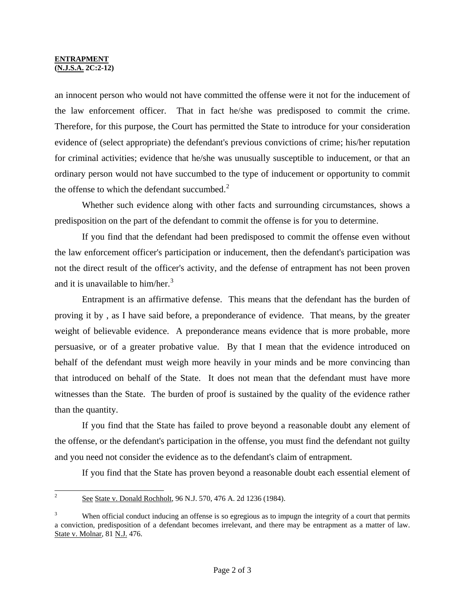## **ENTRAPMENT (N.J.S.A. 2C:2-12)**

an innocent person who would not have committed the offense were it not for the inducement of the law enforcement officer. That in fact he/she was predisposed to commit the crime. Therefore, for this purpose, the Court has permitted the State to introduce for your consideration evidence of (select appropriate) the defendant's previous convictions of crime; his/her reputation for criminal activities; evidence that he/she was unusually susceptible to inducement, or that an ordinary person would not have succumbed to the type of inducement or opportunity to commit the offense to which the defendant succumbed. $2^2$  $2^2$ 

 Whether such evidence along with other facts and surrounding circumstances, shows a predisposition on the part of the defendant to commit the offense is for you to determine.

 If you find that the defendant had been predisposed to commit the offense even without the law enforcement officer's participation or inducement, then the defendant's participation was not the direct result of the officer's activity, and the defense of entrapment has not been proven and it is unavailable to him/her.<sup>[3](#page-1-0)</sup>

 Entrapment is an affirmative defense. This means that the defendant has the burden of proving it by , as I have said before, a preponderance of evidence. That means, by the greater weight of believable evidence. A preponderance means evidence that is more probable, more persuasive, or of a greater probative value. By that I mean that the evidence introduced on behalf of the defendant must weigh more heavily in your minds and be more convincing than that introduced on behalf of the State. It does not mean that the defendant must have more witnesses than the State. The burden of proof is sustained by the quality of the evidence rather than the quantity.

 If you find that the State has failed to prove beyond a reasonable doubt any element of the offense, or the defendant's participation in the offense, you must find the defendant not guilty and you need not consider the evidence as to the defendant's claim of entrapment.

If you find that the State has proven beyond a reasonable doubt each essential element of

 $\overline{c}$ <sup>2</sup> See State v. Donald Rochholt, 96 N.J. 570, 476 A. 2d 1236 (1984).

<span id="page-1-0"></span><sup>3</sup> When official conduct inducing an offense is so egregious as to impugn the integrity of a court that permits a conviction, predisposition of a defendant becomes irrelevant, and there may be entrapment as a matter of law. State v. Molnar, 81 N.J. 476.